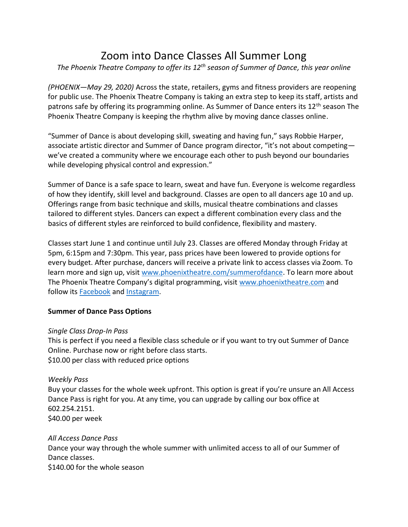# Zoom into Dance Classes All Summer Long

*The Phoenix Theatre Company to offer its 12th season of Summer of Dance, this year online*

*(PHOENIX—May 29, 2020)* Across the state, retailers, gyms and fitness providers are reopening for public use. The Phoenix Theatre Company is taking an extra step to keep its staff, artists and patrons safe by offering its programming online. As Summer of Dance enters its 12<sup>th</sup> season The Phoenix Theatre Company is keeping the rhythm alive by moving dance classes online.

"Summer of Dance is about developing skill, sweating and having fun," says Robbie Harper, associate artistic director and Summer of Dance program director, "it's not about competing we've created a community where we encourage each other to push beyond our boundaries while developing physical control and expression."

Summer of Dance is a safe space to learn, sweat and have fun. Everyone is welcome regardless of how they identify, skill level and background. Classes are open to all dancers age 10 and up. Offerings range from basic technique and skills, musical theatre combinations and classes tailored to different styles. Dancers can expect a different combination every class and the basics of different styles are reinforced to build confidence, flexibility and mastery.

Classes start June 1 and continue until July 23. Classes are offered Monday through Friday at 5pm, 6:15pm and 7:30pm. This year, pass prices have been lowered to provide options for every budget. After purchase, dancers will receive a private link to access classes via Zoom. To learn more and sign up, visit [www.phoenixtheatre.com/summerofdance.](http://www.phoenixtheatre.com/summerofdance) To learn more about The Phoenix Theatre Company's digital programming, visit [www.phoenixtheatre.com](http://www.phoenixtheatre.com/) and follow its [Facebook](https://www.facebook.com/PhoenixTheatre) and [Instagram.](https://www.instagram.com/phxtheatre/)

## **Summer of Dance Pass Options**

## *Single Class Drop-In Pass*

This is perfect if you need a flexible class schedule or if you want to try out Summer of Dance Online. Purchase now or right before class starts. \$10.00 per class with reduced price options

## *Weekly Pass*

Buy your classes for the whole week upfront. This option is great if you're unsure an All Access Dance Pass is right for you. At any time, you can upgrade by calling our box office at 602.254.2151. \$40.00 per week

## *All Access Dance Pass*

Dance your way through the whole summer with unlimited access to all of our Summer of Dance classes.

\$140.00 for the whole season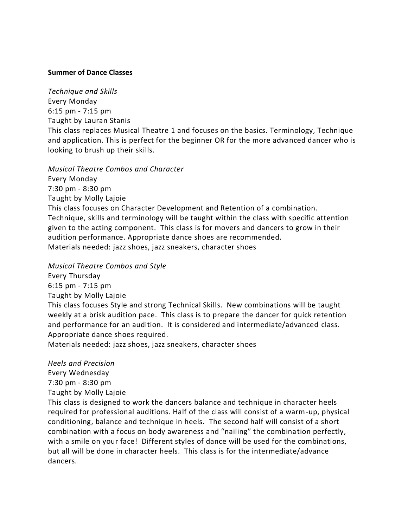#### **Summer of Dance Classes**

*Technique and Skills* Every Monday 6:15 pm - 7:15 pm Taught by Lauran Stanis This class replaces Musical Theatre 1 and focuses on the basics. Terminology, Technique and application. This is perfect for the beginner OR for the more advanced dancer who is looking to brush up their skills.

*Musical Theatre Combos and Character* Every Monday 7:30 pm - 8:30 pm Taught by Molly Lajoie This class focuses on Character Development and Retention of a combination. Technique, skills and terminology will be taught within the class with specific attention given to the acting component. This class is for movers and dancers to grow in their audition performance. Appropriate dance shoes are recommended. Materials needed: jazz shoes, jazz sneakers, character shoes

*Musical Theatre Combos and Style*

Every Thursday 6:15 pm - 7:15 pm Taught by Molly Lajoie This class focuses Style and strong Technical Skills. New combinations will be taught weekly at a brisk audition pace. This class is to prepare the dancer for quick retention and performance for an audition. It is considered and intermediate/advanced class. Appropriate dance shoes required.

Materials needed: jazz shoes, jazz sneakers, character shoes

*Heels and Precision* Every Wednesday 7:30 pm - 8:30 pm Taught by Molly Lajoie

This class is designed to work the dancers balance and technique in character heels required for professional auditions. Half of the class will consist of a warm-up, physical conditioning, balance and technique in heels. The second half will consist of a short combination with a focus on body awareness and "nailing" the combination perfectly, with a smile on your face! Different styles of dance will be used for the combinations, but all will be done in character heels. This class is for the intermediate/advance dancers.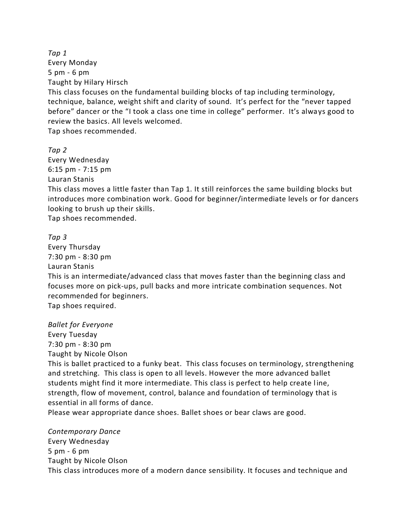*Tap 1* Every Monday 5 pm - 6 pm Taught by Hilary Hirsch

This class focuses on the fundamental building blocks of tap including terminology, technique, balance, weight shift and clarity of sound. It's perfect for the "never tapped before" dancer or the "I took a class one time in college" performer. It's always good to review the basics. All levels welcomed.

Tap shoes recommended.

*Tap 2*

Every Wednesday 6:15 pm - 7:15 pm Lauran Stanis

This class moves a little faster than Tap 1. It still reinforces the same building blocks but introduces more combination work. Good for beginner/intermediate levels or for dancers looking to brush up their skills.

Tap shoes recommended.

#### *Tap 3*

Every Thursday 7:30 pm - 8:30 pm Lauran Stanis This is an intermediate/advanced class that moves faster than the beginning class and focuses more on pick-ups, pull backs and more intricate combination sequences. Not recommended for beginners. Tap shoes required.

*Ballet for Everyone* Every Tuesday 7:30 pm - 8:30 pm Taught by Nicole Olson

This is ballet practiced to a funky beat. This class focuses on terminology, strengthening and stretching. This class is open to all levels. However the more advanced ballet students might find it more intermediate. This class is perfect to help create line, strength, flow of movement, control, balance and foundation of terminology that is essential in all forms of dance.

Please wear appropriate dance shoes. Ballet shoes or bear claws are good.

*Contemporary Dance* Every Wednesday 5 pm - 6 pm Taught by Nicole Olson This class introduces more of a modern dance sensibility. It focuses and technique and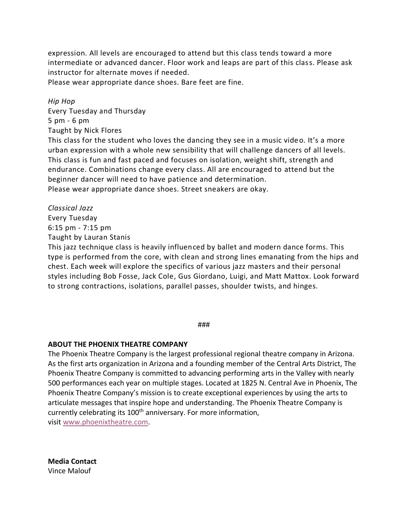expression. All levels are encouraged to attend but this class tends toward a more intermediate or advanced dancer. Floor work and leaps are part of this class. Please ask instructor for alternate moves if needed.

Please wear appropriate dance shoes. Bare feet are fine.

*Hip Hop* Every Tuesday and Thursday 5 pm - 6 pm Taught by Nick Flores

This class for the student who loves the dancing they see in a music video. It's a more urban expression with a whole new sensibility that will challenge dancers of all levels. This class is fun and fast paced and focuses on isolation, weight shift, strength and endurance. Combinations change every class. All are encouraged to attend but the beginner dancer will need to have patience and determination. Please wear appropriate dance shoes. Street sneakers are okay.

*Classical Jazz*

Every Tuesday 6:15 pm - 7:15 pm Taught by Lauran Stanis

This jazz technique class is heavily influenced by ballet and modern dance forms. This type is performed from the core, with clean and strong lines emanating from the hips and chest. Each week will explore the specifics of various jazz masters and their personal styles including Bob Fosse, Jack Cole, Gus Giordano, Luigi, and Matt Mattox. Look forward to strong contractions, isolations, parallel passes, shoulder twists, and hinges.

###

#### **ABOUT THE PHOENIX THEATRE COMPANY**

The Phoenix Theatre Company is the largest professional regional theatre company in Arizona. As the first arts organization in Arizona and a founding member of the Central Arts District, The Phoenix Theatre Company is committed to advancing performing arts in the Valley with nearly 500 performances each year on multiple stages. Located at 1825 N. Central Ave in Phoenix, The Phoenix Theatre Company's mission is to create exceptional experiences by using the arts to articulate messages that inspire hope and understanding. The Phoenix Theatre Company is currently celebrating its 100<sup>th</sup> anniversary. For more information, visit [www.phoenixtheatre.com.](http://www.phoenixtheatre.com/)

**Media Contact** Vince Malouf